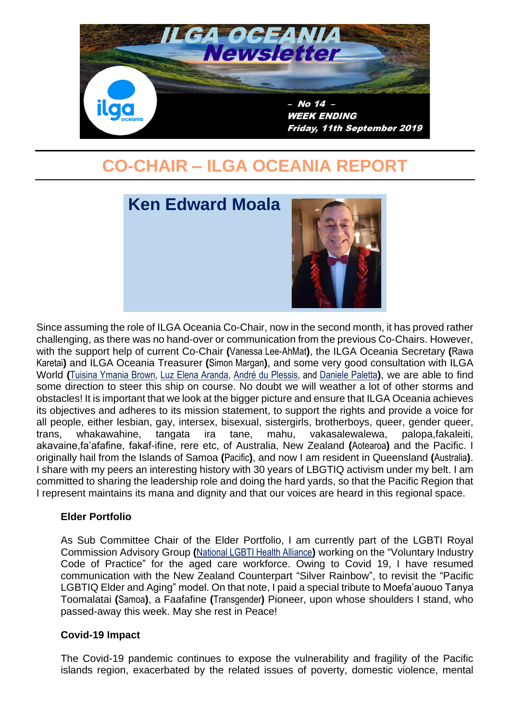

# **CO-CHAIR – ILGA OCEANIA REPORT**



Since assuming the role of ILGA Oceania Co-Chair, now in the second month, it has proved rather challenging, as there was no hand-over or communication from the previous Co-Chairs. However, with the support help of current Co-Chair **(**Vanessa Lee-AhMat**)**, the ILGA Oceania Secretary **(**Rawa Karetai**)** and ILGA Oceania Treasurer **(**Simon Margan**)**, and some very good consultation with ILGA World **(**[Tuisina Ymania Brown,](https://ilga.org/tuisina-ymania-brown) [Luz Elena Aranda,](https://ilga.org/luz-elena-aranda) [André du Plessis,](https://ilga.org/andre-du-plessis) and [Daniele Paletta](https://ilga.org/daniele-paletta)**)**, we are able to find some direction to steer this ship on course. No doubt we will weather a lot of other storms and obstacles! It is important that we look at the bigger picture and ensure that ILGA Oceania achieves its objectives and adheres to its mission statement, to support the rights and provide a voice for all people, either lesbian, gay, intersex, bisexual, sistergirls, brotherboys, queer, gender queer, trans, whakawahine, tangata ira tane, mahu, vakasalewalewa, palopa,fakaleiti, akavaine,fa'afafine, fakaf-ifine, rere etc, of Australia, New Zealand **(**Aotearoa**)** and the Pacific. I originally hail from the Islands of Samoa **(**Pacific**)**, and now I am resident in Queensland **(**Australia**)**. I share with my peers an interesting history with 30 years of LBGTIQ activism under my belt. I am committed to sharing the leadership role and doing the hard yards, so that the Pacific Region that I represent maintains its mana and dignity and that our voices are heard in this regional space.

#### **Elder Portfolio**

As Sub Committee Chair of the Elder Portfolio, I am currently part of the LGBTI Royal Commission Advisory Group **(**[National LGBTI Health Alliance](http://www.lgbtihealth.org.au/)**)** working on the "Voluntary Industry Code of Practice" for the aged care workforce. Owing to Covid 19, I have resumed communication with the New Zealand Counterpart "Silver Rainbow", to revisit the "Pacific LGBTIQ Elder and Aging" model. On that note, I paid a special tribute to Moefa'auouo Tanya Toomalatai **(**Samoa**)**, a Faafafine **(**Transgender**)** Pioneer, upon whose shoulders I stand, who passed-away this week. May she rest in Peace!

#### **Covid-19 Impact**

The Covid-19 pandemic continues to expose the vulnerability and fragility of the Pacific islands region, exacerbated by the related issues of poverty, domestic violence, mental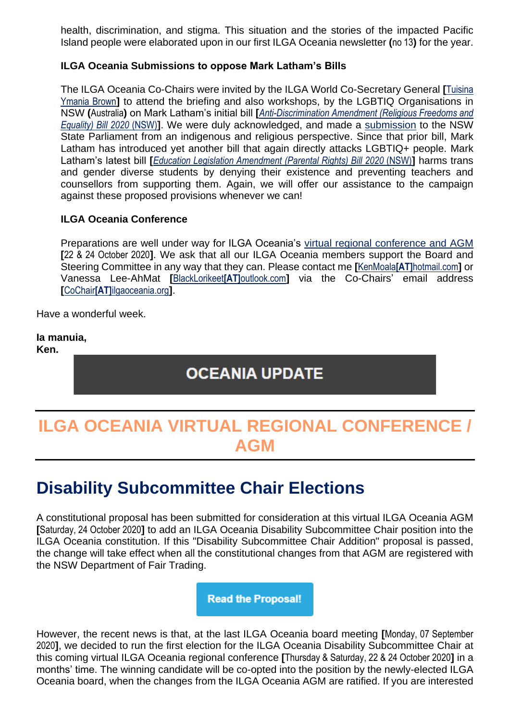health, discrimination, and stigma. This situation and the stories of the impacted Pacific Island people were elaborated upon in our first ILGA Oceania newsletter **(**no 13**)** for the year.

### **ILGA Oceania Submissions to oppose Mark Latham's Bills**

The ILGA Oceania Co-Chairs were invited by the ILGA World Co-Secretary General **[**[Tuisina](https://ilga.org/tuisina-ymania-brown)  [Ymania Brown](https://ilga.org/tuisina-ymania-brown)**]** to attend the briefing and also workshops, by the LGBTIQ Organisations in NSW **(**Australia**)** on Mark Latham's initial bill **[***[Anti-Discrimination Amendment \(Religious Freedoms and](https://www.parliament.nsw.gov.au/bills/Pages/bill-details.aspx?pk=3736)  [Equality\) Bill 2020](https://www.parliament.nsw.gov.au/bills/Pages/bill-details.aspx?pk=3736)* (NSW)**]**. We were duly acknowledged, and made a [submission](http://www.ilgaoceania.org/submissions/2020-08-21a-submission_discrimination-amendment-(religious-freedoms-and-equality)-bill-2020-(nsw).htm) to the NSW State Parliament from an indigenous and religious perspective. Since that prior bill, Mark Latham has introduced yet another bill that again directly attacks LGBTIQ+ people. Mark Latham's latest bill **[***[Education Legislation Amendment \(Parental Rights\) Bill 2020](https://www.parliament.nsw.gov.au/bills/Pages/bill-details.aspx?pk=3776)* (NSW)**]** harms trans and gender diverse students by denying their existence and preventing teachers and counsellors from supporting them. Again, we will offer our assistance to the campaign against these proposed provisions whenever we can!

#### **ILGA Oceania Conference**

Preparations are well under way for ILGA Oceania's [virtual regional conference and AGM](http://www.ilgaoceania.org/conference/2020-virtual/index.htm) **[**22 & 24 October 2020**]**. We ask that all our ILGA Oceania members support the Board and Steering Committee in any way that they can. Please contact me **[**KenMoala**[AT]**[hotmail.com](mailto:kenmoala@hotmail.com)**]** or Vanessa Lee-AhMat **[**[BlackLorikeet](mailto:blacklorikeet@outlook.com)**[AT]**outlook.com**]** via the Co-Chairs' email address **[**CoChair**[AT]**[ilgaoceania.org](mailto:cochair@ilgaoceania.org)**]**.

Have a wonderful week.

#### **Ia manuia,**

**Ken.**

### **OCEANIA UPDATE**

# **ILGA OCEANIA VIRTUAL REGIONAL CONFERENCE / AGM**

# **Disability Subcommittee Chair Elections**

A constitutional proposal has been submitted for consideration at this virtual ILGA Oceania AGM **[**Saturday, 24 October 2020**]** to add an ILGA Oceania Disability Subcommittee Chair position into the ILGA Oceania constitution. If this "Disability Subcommittee Chair Addition" proposal is passed, the change will take effect when all the constitutional changes from that AGM are registered with the NSW Department of Fair Trading.

**Read the Proposal!** 

However, the recent news is that, at the last ILGA Oceania board meeting **[**Monday, 07 September 2020**]**, we decided to run the first election for the ILGA Oceania Disability Subcommittee Chair at this coming virtual ILGA Oceania regional conference **[**Thursday & Saturday, 22 & 24 October 2020**]** in a months' time. The winning candidate will be co-opted into the position by the newly-elected ILGA Oceania board, when the changes from the ILGA Oceania AGM are ratified. If you are interested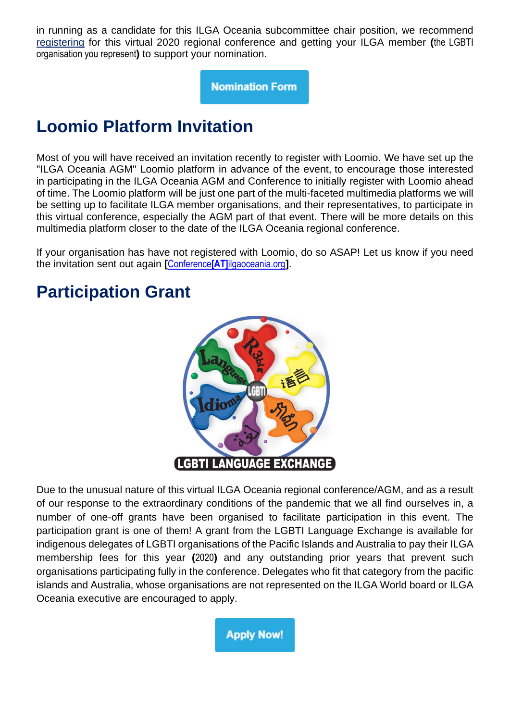in running as a candidate for this ILGA Oceania subcommittee chair position, we recommend [registering](https://www.surveymonkey.com/r/ILGA-2020_Registrations) for this virtual 2020 regional conference and getting your ILGA member **(**the LGBTI organisation you represent**)** to support your nomination.

**Nomination Form** 

# **Loomio Platform Invitation**

Most of you will have received an invitation recently to register with Loomio. We have set up the "ILGA Oceania AGM" Loomio platform in advance of the event, to encourage those interested in participating in the ILGA Oceania AGM and Conference to initially register with Loomio ahead of time. The Loomio platform will be just one part of the multi-faceted multimedia platforms we will be setting up to facilitate ILGA member organisations, and their representatives, to participate in this virtual conference, especially the AGM part of that event. There will be more details on this multimedia platform closer to the date of the ILGA Oceania regional conference.

If your organisation has have not registered with Loomio, do so ASAP! Let us know if you need the invitation sent out again **[**Conference**[AT]**[ilgaoceania.org](mailto:conference@ilgaoceania.org)**]**.

# **Participation Grant**



Due to the unusual nature of this virtual ILGA Oceania regional conference/AGM, and as a result of our response to the extraordinary conditions of the pandemic that we all find ourselves in, a number of one-off grants have been organised to facilitate participation in this event. The participation grant is one of them! A grant from the LGBTI Language Exchange is available for indigenous delegates of LGBTI organisations of the Pacific Islands and Australia to pay their ILGA membership fees for this year **(**2020**)** and any outstanding prior years that prevent such organisations participating fully in the conference. Delegates who fit that category from the pacific islands and Australia, whose organisations are not represented on the ILGA World board or ILGA Oceania executive are encouraged to apply.

**Apply Now!**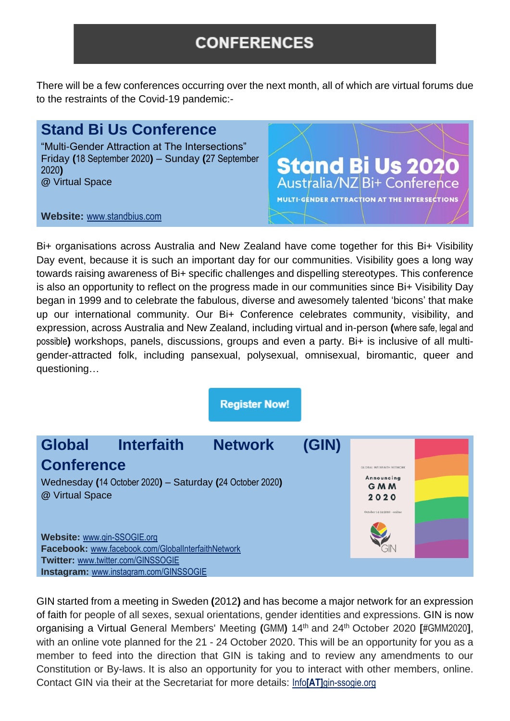### **CONFERENCES**

There will be a few conferences occurring over the next month, all of which are virtual forums due to the restraints of the Covid-19 pandemic:-

### **Stand Bi Us Conference**

"Multi-Gender Attraction at The Intersections" Friday **(**18 September 2020**)** – Sunday **(**27 September 2020**) @** Virtual Space

**Stand Bi Us 2020**<br>Australia/NZ Bi+ Conference MULTI-GENDER ATTRACTION AT THE INTERSECTIONS

**Website:** [www.standbius.com](http://www.standbius.com/)

Bi+ organisations across Australia and New Zealand have come together for this Bi+ Visibility Day event, because it is such an important day for our communities. Visibility goes a long way towards raising awareness of Bi+ specific challenges and dispelling stereotypes. This conference is also an opportunity to reflect on the progress made in our communities since Bi+ Visibility Day began in 1999 and to celebrate the fabulous, diverse and awesomely talented 'bicons' that make up our international community. Our Bi+ Conference celebrates community, visibility, and expression, across Australia and New Zealand, including virtual and in-person **(**where safe, legal and possible**)** workshops, panels, discussions, groups and even a party. Bi+ is inclusive of all multigender-attracted folk, including pansexual, polysexual, omnisexual, biromantic, queer and questioning…

**Register Now!** 



GIN started from a meeting in Sweden **(**2012**)** and has become a major network for an expression of faith for people of all sexes, sexual orientations, gender identities and expressions. GIN is now organising a Virtual General Members' Meeting **(**GMM**)** 14th and 24th October 2020 **[**#GMM2020**]**, with an online vote planned for the 21 - 24 October 2020. This will be an opportunity for you as a member to feed into the direction that GIN is taking and to review any amendments to our Constitution or By-laws. It is also an opportunity for you to interact with other members, online. Contact GIN via their at the Secretariat for more details: Info**[AT]**[gin-ssogie.org](mailto:info@gin-ssogie.org)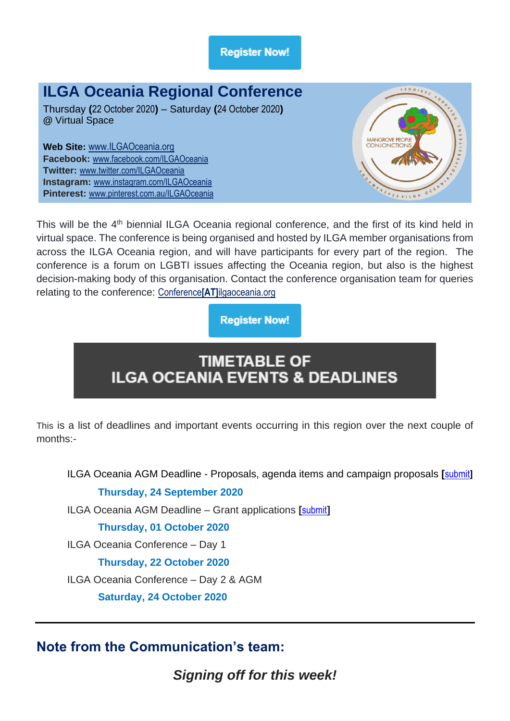**Register Now!** 

## **ILGA Oceania Regional Conference**

Thursday **(**22 October 2020**)** – Saturday **(**24 October 2020**) @** Virtual Space

**Web Site:** [www.ILGAOceania.org](http://www.ilgaoceania.org/) **Facebook:** [www.facebook.com/ILGAOceania](http://www.facebook.com/ILGAOceania) **Twitter:** [www.twitter.com/ILGAOceania](http://www.twitter.com/ILGAOceania) **Instagram:** [www.instagram.com/ILGAOceania](http://www.instagram.com/ILGAOceania) **Pinterest:** [www.pinterest.com.au/ILGAOceania](http://www.pinterest.com.au/ILGAOceania)



This will be the 4<sup>th</sup> biennial ILGA Oceania regional conference, and the first of its kind held in virtual space. The conference is being organised and hosted by ILGA member organisations from across the ILGA Oceania region, and will have participants for every part of the region. The conference is a forum on LGBTI issues affecting the Oceania region, but also is the highest decision-making body of this organisation. Contact the conference organisation team for queries relating to the conference: Conference**[AT]**[ilgaoceania.org](mailto:Conference@ilgaoceania.org)

### **Register Now!**

## **TIMETABLE OF ILGA OCEANIA EVENTS & DEADLINES**

This is a list of deadlines and important events occurring in this region over the next couple of months:-

ILGA Oceania AGM Deadline - Proposals, agenda items and campaign proposals **[**[submit](https://www.surveymonkey.com/r/ILGA-2020_Proposals)**] Thursday, 24 September 2020**

ILGA Oceania AGM Deadline – Grant applications **[**[submit](https://www.surveymonkey.com/r/ILGA-2020_Scholarships)**]**

### **Thursday, 01 October 2020**

ILGA Oceania Conference – Day 1

**Thursday, 22 October 2020**

ILGA Oceania Conference – Day 2 & AGM

**Saturday, 24 October 2020**

### **Note from the Communication's team:**

*Signing off for this week!*